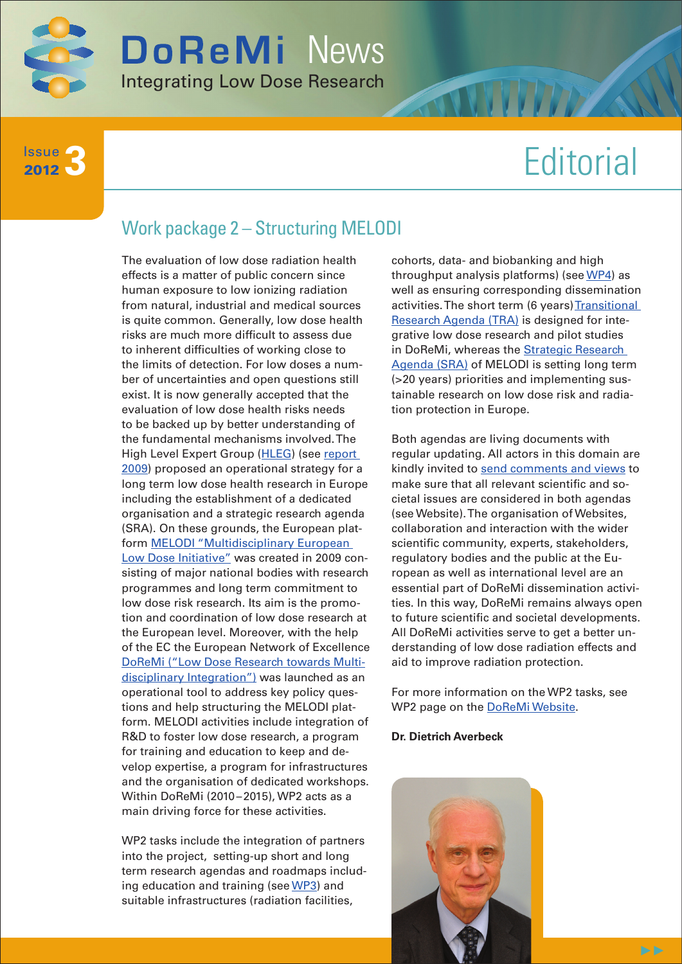

**3** Issue 2012

# **Editorial**

## Work package 2 – Structuring MELODI

The evaluation of low dose radiation health effects is a matter of public concern since human exposure to low ionizing radiation from natural, industrial and medical sources is quite common. Generally, low dose health risks are much more difficult to assess due to inherent difficulties of working close to the limits of detection. For low doses a number of uncertainties and open questions still exist. It is now generally accepted that the evaluation of low dose health risks needs to be backed up by better understanding of the fundamental mechanisms involved. The High Level Expert Group [\(HLEG](http://www.hleg.de/)) (see report [2009\)](http://www.hleg.de/fr.pdf) proposed an operational strategy for a long term low dose health research in Europe including the establishment of a dedicated organisation and a strategic research agenda (SRA). On these grounds, the European platform [MELODI "Multidisciplinary European](http://www.melodi-online.eu/)  [Low Dose Initiative"](http://www.melodi-online.eu/) was created in 2009 consisting of major national bodies with research programmes and long term commitment to low dose risk research. Its aim is the promotion and coordination of low dose research at the European level. Moreover, with the help of the EC the European Network of Excellence [DoReMi \("Low Dose Research towards Multi](http://www.doremi-noe.net/index.html)[disciplinary Integration"\)](http://www.doremi-noe.net/index.html) was launched as an operational tool to address key policy questions and help structuring the MELODI platform. MELODI activities include integration of R&D to foster low dose research, a program for training and education to keep and develop expertise, a program for infrastructures and the organisation of dedicated workshops. Within DoReMi (2010–2015), WP2 acts as a main driving force for these activities.

WP2 tasks include the integration of partners into the project, setting-up short and long term research agendas and roadmaps including education and training (see [WP3](http://www.doremi-noe.net/training_and_education.html)) and suitable infrastructures (radiation facilities,

cohorts, data- and biobanking and high throughput analysis platforms) (see [WP4\)](http://www.doremi-noe.net/infrastructures.html) as well as ensuring corresponding dissemination activities. The short term (6 years) Transitional [Research Agenda \(TRA\)](http://www.doremi-noe.net/transitional_research_agenda.html) is designed for integrative low dose research and pilot studies in DoReMi, whereas the [Strategic Research](http://www.melodi-online.eu/sra.html)  [Agenda \(SRA\)](http://www.melodi-online.eu/sra.html) of MELODI is setting long term (>20 years) priorities and implementing sustainable research on low dose risk and radiation protection in Europe.

Both agendas are living documents with regular updating. All actors in this domain are kindly invited to [send comments and views](http://www.doremi-noe.net/comment.html) to make sure that all relevant scientific and societal issues are considered in both agendas (see Website). The organisation of Websites, collaboration and interaction with the wider scientific community, experts, stakeholders, regulatory bodies and the public at the European as well as international level are an essential part of DoReMi dissemination activities. In this way, DoReMi remains always open to future scientific and societal developments. All DoReMi activities serve to get a better understanding of low dose radiation effects and aid to improve radiation protection.

For more information on the WP2 tasks, see WP2 page on the **DoReMi Website**.

#### **Dr. Dietrich Averbeck**